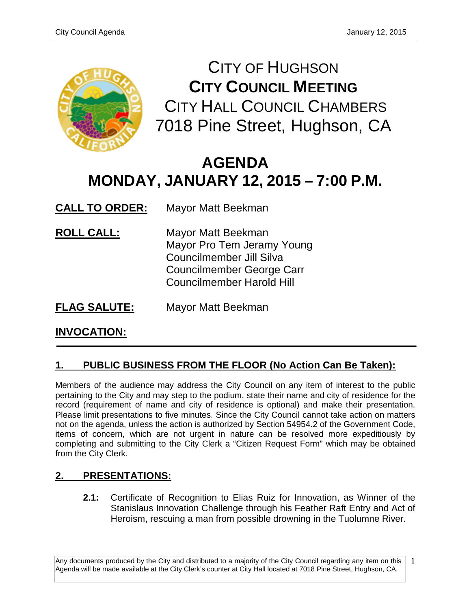

CITY OF HUGHSON **CITY COUNCIL MEETING** CITY HALL COUNCIL CHAMBERS 7018 Pine Street, Hughson, CA

# **AGENDA MONDAY, JANUARY 12, 2015 – 7:00 P.M.**

**CALL TO ORDER:** Mayor Matt Beekman

- **ROLL CALL:** Mayor Matt Beekman Mayor Pro Tem Jeramy Young Councilmember Jill Silva Councilmember George Carr Councilmember Harold Hill
- **FLAG SALUTE:** Mayor Matt Beekman

# **INVOCATION:**

# **1. PUBLIC BUSINESS FROM THE FLOOR (No Action Can Be Taken):**

Members of the audience may address the City Council on any item of interest to the public pertaining to the City and may step to the podium, state their name and city of residence for the record (requirement of name and city of residence is optional) and make their presentation. Please limit presentations to five minutes. Since the City Council cannot take action on matters not on the agenda, unless the action is authorized by Section 54954.2 of the Government Code, items of concern, which are not urgent in nature can be resolved more expeditiously by completing and submitting to the City Clerk a "Citizen Request Form" which may be obtained from the City Clerk.

# **2. PRESENTATIONS:**

**2.1:** Certificate of Recognition to Elias Ruiz for Innovation, as Winner of the Stanislaus Innovation Challenge through his Feather Raft Entry and Act of Heroism, rescuing a man from possible drowning in the Tuolumne River.

Any documents produced by the City and distributed to a majority of the City Council regarding any item on this Agenda will be made available at the City Clerk's counter at City Hall located at 7018 Pine Street, Hughson, CA. 1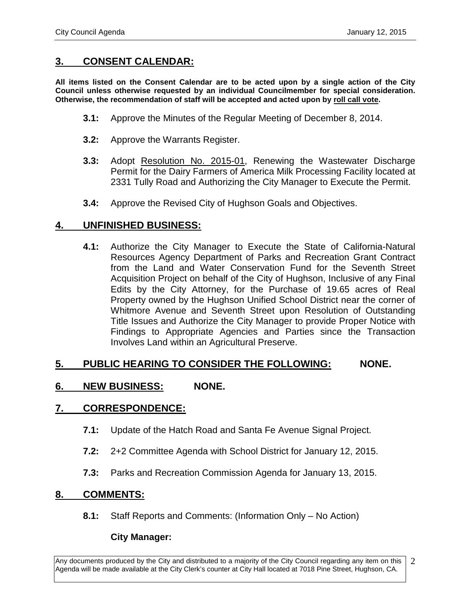## **3. CONSENT CALENDAR:**

**All items listed on the Consent Calendar are to be acted upon by a single action of the City Council unless otherwise requested by an individual Councilmember for special consideration. Otherwise, the recommendation of staff will be accepted and acted upon by roll call vote.**

- **3.1:** Approve the Minutes of the Regular Meeting of December 8, 2014.
- **3.2:** Approve the Warrants Register.
- **3.3:** Adopt Resolution No. 2015-01, Renewing the Wastewater Discharge Permit for the Dairy Farmers of America Milk Processing Facility located at 2331 Tully Road and Authorizing the City Manager to Execute the Permit.
- **3.4:** Approve the Revised City of Hughson Goals and Objectives.

## **4. UNFINISHED BUSINESS:**

**4.1:** Authorize the City Manager to Execute the State of California-Natural Resources Agency Department of Parks and Recreation Grant Contract from the Land and Water Conservation Fund for the Seventh Street Acquisition Project on behalf of the City of Hughson, Inclusive of any Final Edits by the City Attorney, for the Purchase of 19.65 acres of Real Property owned by the Hughson Unified School District near the corner of Whitmore Avenue and Seventh Street upon Resolution of Outstanding Title Issues and Authorize the City Manager to provide Proper Notice with Findings to Appropriate Agencies and Parties since the Transaction Involves Land within an Agricultural Preserve.

## **5. PUBLIC HEARING TO CONSIDER THE FOLLOWING: NONE.**

## **6. NEW BUSINESS: NONE.**

## **7. CORRESPONDENCE:**

- **7.1:** Update of the Hatch Road and Santa Fe Avenue Signal Project.
- **7.2:** 2+2 Committee Agenda with School District for January 12, 2015.
- **7.3:** Parks and Recreation Commission Agenda for January 13, 2015.

## **8. COMMENTS:**

**8.1:** Staff Reports and Comments: (Information Only – No Action)

#### **City Manager:**

Any documents produced by the City and distributed to a majority of the City Council regarding any item on this Agenda will be made available at the City Clerk's counter at City Hall located at 7018 Pine Street, Hughson, CA. 2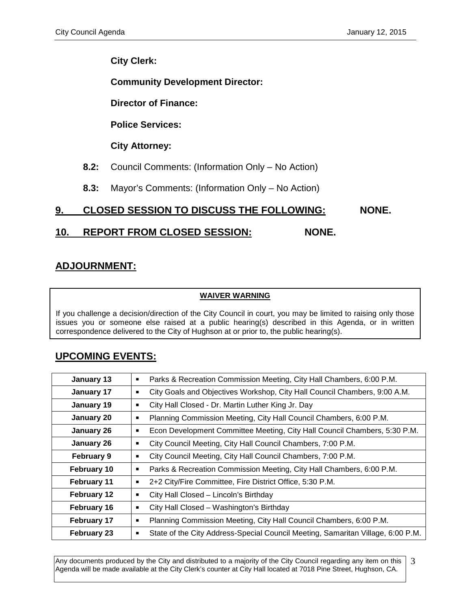## **City Clerk:**

**Community Development Director:**

**Director of Finance:**

**Police Services:**

**City Attorney:**

- **8.2:** Council Comments: (Information Only No Action)
- **8.3:** Mayor's Comments: (Information Only No Action)

# **9. CLOSED SESSION TO DISCUSS THE FOLLOWING: NONE.**

# **10. REPORT FROM CLOSED SESSION: NONE.**

# **ADJOURNMENT:**

#### **WAIVER WARNING**

If you challenge a decision/direction of the City Council in court, you may be limited to raising only those issues you or someone else raised at a public hearing(s) described in this Agenda, or in written correspondence delivered to the City of Hughson at or prior to, the public hearing(s).

# **UPCOMING EVENTS:**

| January 13         | Parks & Recreation Commission Meeting, City Hall Chambers, 6:00 P.M.<br>п            |
|--------------------|--------------------------------------------------------------------------------------|
| January 17         | City Goals and Objectives Workshop, City Hall Council Chambers, 9:00 A.M.<br>■       |
| January 19         | City Hall Closed - Dr. Martin Luther King Jr. Day<br>■                               |
| January 20         | Planning Commission Meeting, City Hall Council Chambers, 6:00 P.M.<br>п              |
| January 26         | Econ Development Committee Meeting, City Hall Council Chambers, 5:30 P.M.<br>■       |
| January 26         | City Council Meeting, City Hall Council Chambers, 7:00 P.M.<br>■                     |
| <b>February 9</b>  | City Council Meeting, City Hall Council Chambers, 7:00 P.M.                          |
| February 10        | Parks & Recreation Commission Meeting, City Hall Chambers, 6:00 P.M.<br>п            |
| February 11        | 2+2 City/Fire Committee, Fire District Office, 5:30 P.M.<br>п                        |
| February 12        | City Hall Closed - Lincoln's Birthday<br>п                                           |
| February 16        | City Hall Closed - Washington's Birthday<br>■                                        |
| <b>February 17</b> | Planning Commission Meeting, City Hall Council Chambers, 6:00 P.M.<br>п              |
| <b>February 23</b> | State of the City Address-Special Council Meeting, Samaritan Village, 6:00 P.M.<br>■ |

Any documents produced by the City and distributed to a majority of the City Council regarding any item on this Agenda will be made available at the City Clerk's counter at City Hall located at 7018 Pine Street, Hughson, CA. 3